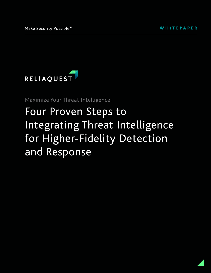

Maximize Your Threat Intelligence:

# Four Proven Steps to Integrating Threat Intelligence for Higher-Fidelity Detection and Response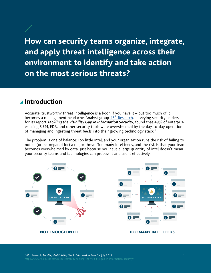**How can security teams organize, integrate, and apply threat intelligence across their environment to identify and take action on the most serious threats?** 

## **Introduction**

Accurate, trustworthy threat intelligence is a boon if you have it – but too much of it becomes a management headache. Analyst group [451 Research,](https://www.reliaquest.com/resources/study-tacking-the-visibility-gap-in-information-security/) surveying security leaders for its report *Tackling the Visibility Gap in Information Security*, found that 49% of enterprises using SIEM, EDR, and other security tools were overwhelmed by the day-to-day operation of managing and ingesting threat feeds into their growing technology stack.1

The problem is one of balance: Too little intel, and your organization runs the risk of failing to notice (or be prepared for) a major threat. Too many intel feeds, and the risk is that your team becomes overwhelmed by data. Just because you have a large quantity of intel doesn't mean your security teams and technologies can process it and use it effectively.

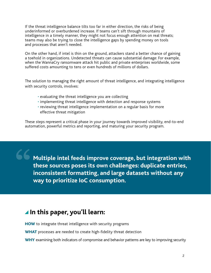If the threat intelligence balance tilts too far in either direction, the risks of being underinformed or overburdened increase. If teams can't sift through mountains of intelligence in a timely manner, they might not focus enough attention on real threats; teams may also be trying to close the intelligence gaps by spending money on tools and processes that aren't needed.

On the other hand, if intel is thin on the ground, attackers stand a better chance of gaining a toehold in organizations. Undetected threats can cause substantial damage: For example, when the WannaCry ransomware attack hit public and private enterprises worldwide, some suffered costs amounting to tens or even hundreds of millions of dollars.

The solution to managing the right amount of threat intelligence, and integrating intelligence with security controls, involves:

- evaluating the threat intelligence you are collecting
- implementing threat intelligence with detection and response systems
- reviewing threat intelligence implementation on a regular basis for more effective threat mitigation

These steps represent a critical phase in your journey towards improved visibility, end-to-end automation, powerful metrics and reporting, and maturing your security program.

**Multiple intel feeds improve coverage, but integration with these sources poses its own challenges: duplicate entries, inconsistent formatting, and large datasets without any way to prioritize IoC consumption.**

# **In this paper, you'll learn:**

HOW to integrate threat intelligence with security programs

WHAT processes are needed to create high-fidelity threat detection

WHY examining both indicators of compromise and behavior patterns are key to improving security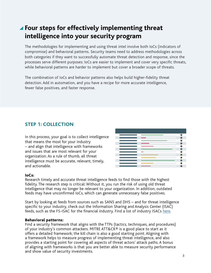# **Four steps for effectively implementing threat intelligence into your security program**

The methodologies for implementing and using threat intel involve both IoCs (indicators of compromise) and behavioral patterns. Security teams need to address methodologies across both categories if they want to successfully automate threat detection and response, since the processes serve different purposes: IoCs are easier to implement and cover very specific threats, while behavioral patterns are harder to implement but cover a broader scope of threats.

The combination of IoCs and behavior patterns also helps build higher-fidelity threat detection. Add in automation, and you have a recipe for more accurate intelligence, fewer false positives, and faster response.

## **STEP 1: COLLECTION**

In this process, your goal is to collect intelligence that means the most for your industry – and align that intelligence with frameworks and issues that are most relevant for your organization. As a rule of thumb, all threat intelligence must be accurate, relevant, timely, and actionable.

|    | Ο            |
|----|--------------|
|    | o            |
|    | Ο            |
|    | Ο            |
|    | O            |
|    | Ο            |
|    | $\bullet$    |
|    | o            |
|    | $\bullet$    |
| __ | a            |
|    | $\mathbf{x}$ |

## IoCs:

Research timely and accurate threat intelligence feeds to find those with the highest fidelity. The research step is critical: Without it, you run the risk of using old threat intelligence that may no longer be relevant to your organization. In addition, outdated feeds may have unconfirmed IoCs, which can generate unnecessary false positives.

Start by looking at feeds from sources such as SANS and DHS – and for threat intelligence specific to your industry, check out the Information Sharing and Analysis Center (ISAC) feeds, such as the FS-ISAC for the financial industry. Find a list of industry ISACs [here](https://www.nationalisacs.org/member-isacs).

## Behavioral patterns:

Find a security framework that aligns with the TTPs (tactics, techniques, and procedures) of your industry's common attackers. MITRE ATT&CK® is a good place to start as it offers a detailed framework; the kill chain is also a good starting point. Aligning with a framework helps to measure progress of implementing threat intelligence, and also provides a starting point for covering all aspects of threat actors' attack paths. A bonus of aligning with frameworks is that you are better able to measure security performance and show value of security investments.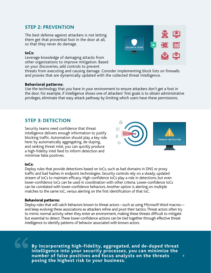## **STEP 2: PREVENTION**

The best defense against attackers is not letting them get that proverbial foot in the door at all, so that they never do damage.

### IoCs:

Leverage knowledge of damaging attacks from other organizations to improve mitigation. Based on your discoveries, add controls to prevent



threats from executing and causing damage. Consider implementing block lists on firewalls and proxies that are dynamically updated with the collected threat intelligence.

## Behavioral patterns:

Use the technology that you have in your environment to ensure attackers don't get a foot in the door. For example, if intelligence shows one of attackers' first goals is to obtain administrative privileges, eliminate that easy attack pathway by limiting which users have these permissions.

## **STEP 3: DETECTION**

Security teams need confidence that threat intelligence delivers enough information to justify blocking traffic. Automation should play a key role here: by automatically aggregating, de-duping, and ranking threat intel, you can quickly produce a high-fidelity intel feed to inform detection and minimize false positives.



#### IoCs:

Deploy rules that provide detections based on IoCs, such as bad domains in DNS or proxy traffic and bad hashes in endpoint technologies. Security controls rely on a steady, updated stream of IoCs to maintain efficacy. High-confidence IoCs play a role in detections, but even lower-confidence IoCs can be used in coordination with other criteria. Lower-confidence IoCs can be correlated with lower-confidence behaviors. Another option is alerting on multiple matches to the same IoC, versus alerting on the first identification of that IoC.

#### Behavioral patterns:

Deploy rules that will catch behaviors known to threat actors—such as using Microsoft Word macros and keep evolving these associations as attackers refine and pivot their tactics. Threat actors often try to mimic normal activity when they enter an environment, making these threats difficult to mitigate but essential to detect. These lower-confidence actions can be tied together through effective threat intelligence to identify patterns of behavior associated with known actors.

**By incorporating high-fidelity, aggregated, and de-duped threat intelligence into your security processes, you can minimize the number of false positives and focus analysts on the threats posing the highest risk to your business.**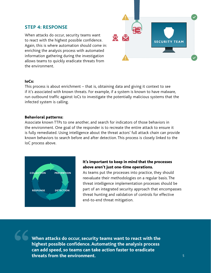## **STEP 4: RESPONSE**

When attacks do occur, security teams want to react with the highest possible confidence. Again, this is where automation should come in: enriching the analysis process with automated information gathering during the investigation allows teams to quickly eradicate threats from the environment.



#### IoCs:

This process is about enrichment – that is, obtaining data and giving it context to see if it's associated with known threats. For example, if a system is known to have malware, run outbound traffic against IoCs to investigate the potentially malicious systems that the infected system is calling.

#### Behavioral patterns:

Associate known TTPs to one another, and search for indicators of those behaviors in the environment. One goal of the responder is to recreate the entire attack to ensure it is fully remediated. Using intelligence about the threat actors' full attack chain can provide known behaviors to search before and after detection. This process is closely linked to the IoC process above.



## It's important to keep in mind that the processes above aren't just one-time operations.

As teams put the processes into practice, they should reevaluate their methodologies on a regular basis. The threat intelligence implementation processes should be part of an integrated security approach that encompasses threat hunting and validation of controls for effective end-to-end threat mitigation.

**When attacks do occur, security teams want to react with the highest possible confidence. Automating the analysis process can add speed, so teams can take action faster to eradicate threats from the environment.**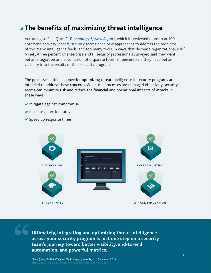# **The benefits of maximizing threat intelligence**

According to ReliaQuest's *[Technology Sprawl Report](https://www.reliaquest.com/resources/vendor-sprawl-survey-report/)*, which interviewed more than 400 enterprise security leaders, security teams need new approaches to address the problems of too many intelligence feeds, and too many tools, in ways that decrease organizational risk.<sup>2</sup> Ninety-three percent of enterprise and IT security professionals surveyed said they want better integration and automation of disparate tools; 94 percent said they need better visibility into the results of their security program.

The processes outlined above for optimizing threat intelligence in security programs are intended to address these concerns. When the processes are managed effectively, security teams can minimize risk and reduce the financial and operational impacts of attacks in these ways:

- $\blacktriangleright$  Mitigate against compromise
- ◆ Increase detection rates
- ◆ Speed up response times



**Ultimately, integrating and optimizing threat intelligence across your security program is just one step on a security team's journey toward better visibility, end-to-end automation, and powerful metrics.**